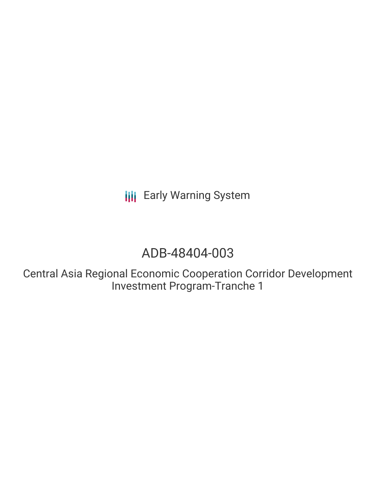**III** Early Warning System

# ADB-48404-003

Central Asia Regional Economic Cooperation Corridor Development Investment Program-Tranche 1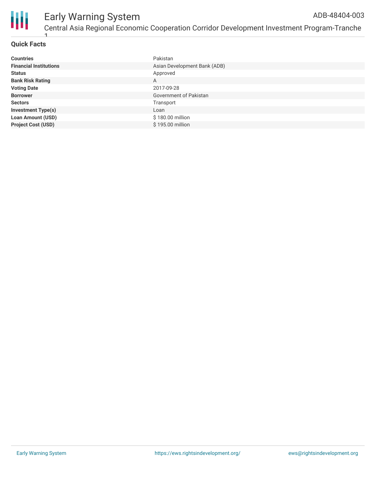

# **Quick Facts**

1

| <b>Countries</b>              | Pakistan                     |
|-------------------------------|------------------------------|
| <b>Financial Institutions</b> | Asian Development Bank (ADB) |
| <b>Status</b>                 | Approved                     |
| <b>Bank Risk Rating</b>       | A                            |
| <b>Voting Date</b>            | 2017-09-28                   |
| <b>Borrower</b>               | Government of Pakistan       |
| <b>Sectors</b>                | Transport                    |
| <b>Investment Type(s)</b>     | Loan                         |
| <b>Loan Amount (USD)</b>      | \$180.00 million             |
| <b>Project Cost (USD)</b>     | $$195.00$ million            |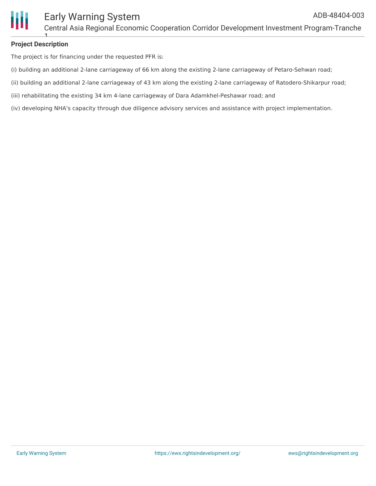

## **Project Description** 1

The project is for financing under the requested PFR is:

- (i) building an additional 2-lane carriageway of 66 km along the existing 2-lane carriageway of Petaro-Sehwan road;
- (ii) building an additional 2-lane carriageway of 43 km along the existing 2-lane carriageway of Ratodero-Shikarpur road;
- (iii) rehabilitating the existing 34 km 4-lane carriageway of Dara Adamkhel-Peshawar road; and
- (iv) developing NHA's capacity through due diligence advisory services and assistance with project implementation.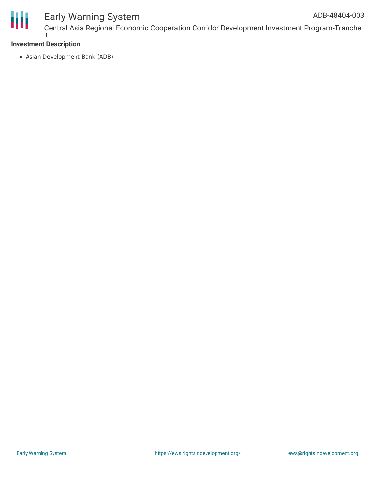

### Early Warning System Central Asia Regional Economic Cooperation Corridor Development Investment Program-Tranche ADB-48404-003

### **Investment Description** 1

Asian Development Bank (ADB)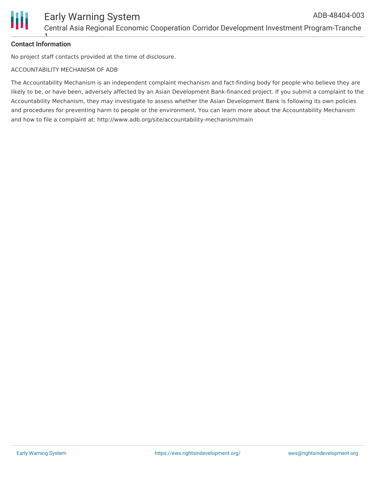

# **Contact Information** 1

No project staff contacts provided at the time of disclosure.

# ACCOUNTABILITY MECHANISM OF ADB

The Accountability Mechanism is an independent complaint mechanism and fact-finding body for people who believe they are likely to be, or have been, adversely affected by an Asian Development Bank-financed project. If you submit a complaint to the Accountability Mechanism, they may investigate to assess whether the Asian Development Bank is following its own policies and procedures for preventing harm to people or the environment. You can learn more about the Accountability Mechanism and how to file a complaint at: http://www.adb.org/site/accountability-mechanism/main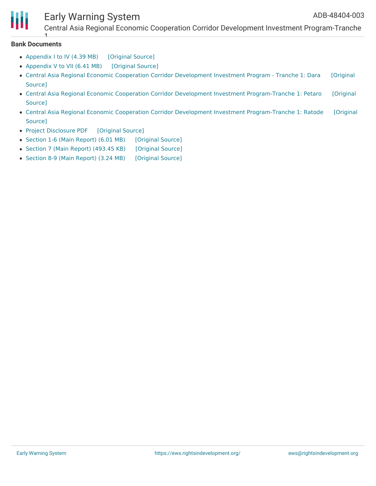

# Early Warning System

Central Asia Regional Economic Cooperation Corridor Development Investment Program-Tranche

#### **Bank Documents**

1

- [Appendix](https://ewsdata.rightsindevelopment.org/files/documents/03/ADB-48404-003_rHk5FLn.pdf) I to IV (4.39 MB) [\[Original](https://www.adb.org/projects/documents/pak-48404-003-iee) Source]
- [Appendix](https://ewsdata.rightsindevelopment.org/files/documents/03/ADB-48404-003_rdw55EG.pdf) V to VII (6.41 MB) [\[Original](https://www.adb.org/projects/documents/pak-48404-003-iee) Source]
- Central Asia Regional Economic Cooperation Corridor [Development](https://ewsdata.rightsindevelopment.org/files/documents/03/ADB-48404-003_1INaImf.pdf) Investment Program Tranche 1: Dara [Original Source]
- Central Asia Regional Economic Cooperation Corridor Development Investment [Program-Tranche](https://ewsdata.rightsindevelopment.org/files/documents/03/ADB-48404-003_2JFwQoE.pdf) 1: Petaro [Original Source]
- Central Asia Regional Economic Cooperation Corridor Development Investment [Program-Tranche](https://ewsdata.rightsindevelopment.org/files/documents/03/ADB-48404-003_JCTzuoC.pdf) 1: Ratode [Original Source]
- Project [Disclosure](https://ewsdata.rightsindevelopment.org/files/documents/03/ADB-48404-003.pdf) PDF [\[Original](https://www.adb.org/printpdf/projects/48404-003/main) Source]
- Section 1-6 (Main [Report\)](https://ewsdata.rightsindevelopment.org/files/documents/03/ADB-48404-003_sBMZjwx.pdf) (6.01 MB) [\[Original](https://www.adb.org/projects/documents/pak-48404-003-iee) Source]
- Section 7 (Main Report) [\(493.45](https://ewsdata.rightsindevelopment.org/files/documents/03/ADB-48404-003_xtdh3YA.pdf) KB) [\[Original](https://www.adb.org/projects/documents/pak-48404-003-iee) Source]
- Section 8-9 (Main [Report\)](https://ewsdata.rightsindevelopment.org/files/documents/03/ADB-48404-003_1cR4IAw.pdf) (3.24 MB) [\[Original](https://www.adb.org/projects/documents/pak-48404-003-iee) Source]